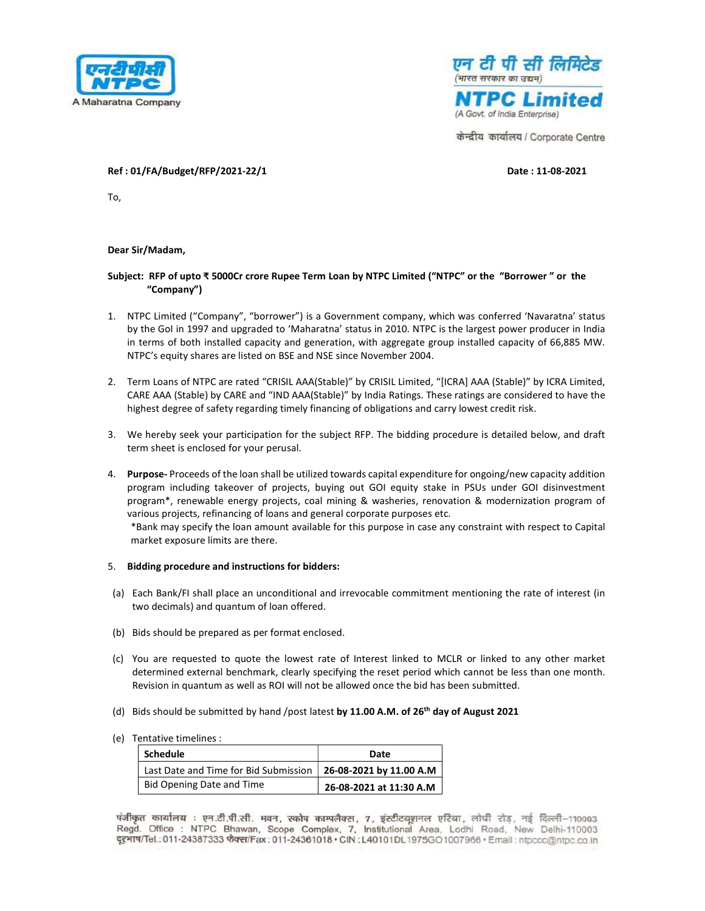



केन्द्रीय कार्यालय / Corporate Centre

## Ref : 01/FA/Budget/RFP/2021-22/1 Date : 11-08-2021

To,

## Dear Sir/Madam,

## Subject: RFP of upto ₹ 5000Cr crore Rupee Term Loan by NTPC Limited ("NTPC" or the "Borrower " or the "Company")

- 1. NTPC Limited ("Company", "borrower") is a Government company, which was conferred 'Navaratna' status by the GoI in 1997 and upgraded to 'Maharatna' status in 2010. NTPC is the largest power producer in India in terms of both installed capacity and generation, with aggregate group installed capacity of 66,885 MW. NTPC's equity shares are listed on BSE and NSE since November 2004.
- 2. Term Loans of NTPC are rated "CRISIL AAA(Stable)" by CRISIL Limited, "[ICRA] AAA (Stable)" by ICRA Limited, CARE AAA (Stable) by CARE and "IND AAA(Stable)" by India Ratings. These ratings are considered to have the highest degree of safety regarding timely financing of obligations and carry lowest credit risk.
- 3. We hereby seek your participation for the subject RFP. The bidding procedure is detailed below, and draft term sheet is enclosed for your perusal.
- 4. Purpose- Proceeds of the loan shall be utilized towards capital expenditure for ongoing/new capacity addition program including takeover of projects, buying out GOI equity stake in PSUs under GOI disinvestment program\*, renewable energy projects, coal mining & washeries, renovation & modernization program of various projects, refinancing of loans and general corporate purposes etc.

\*Bank may specify the loan amount available for this purpose in case any constraint with respect to Capital market exposure limits are there.

## 5. Bidding procedure and instructions for bidders:

- (a) Each Bank/FI shall place an unconditional and irrevocable commitment mentioning the rate of interest (in two decimals) and quantum of loan offered.
- (b) Bids should be prepared as per format enclosed.
- (c) You are requested to quote the lowest rate of Interest linked to MCLR or linked to any other market determined external benchmark, clearly specifying the reset period which cannot be less than one month. Revision in quantum as well as ROI will not be allowed once the bid has been submitted.
- (d) Bids should be submitted by hand /post latest by 11.00 A.M. of 26<sup>th</sup> day of August 2021
- (e) Tentative timelines :

| Schedule                              | Date                    |
|---------------------------------------|-------------------------|
| Last Date and Time for Bid Submission | 26-08-2021 by 11.00 A.M |
| Bid Opening Date and Time             | 26-08-2021 at 11:30 A.M |

पंजीकृत कार्यालय : एन.टी.पी.सी. भवन, स्कोप काम्पलैक्स, 7, इंस्टीटयुशनल एरिया, लोघी रोड, नई दिल्ली–110003 Regd. Office : NTPC Bhawan, Scope Complex, 7, Institutional Area, Lodhi Road, New Delhi-110003 दूरभाष/Tel.: 011-24387333 फैक्स/Fax : 011-24361018 • CIN : L40101DL1975GO1007966 • Email : ntpccc@ntpc.co.in